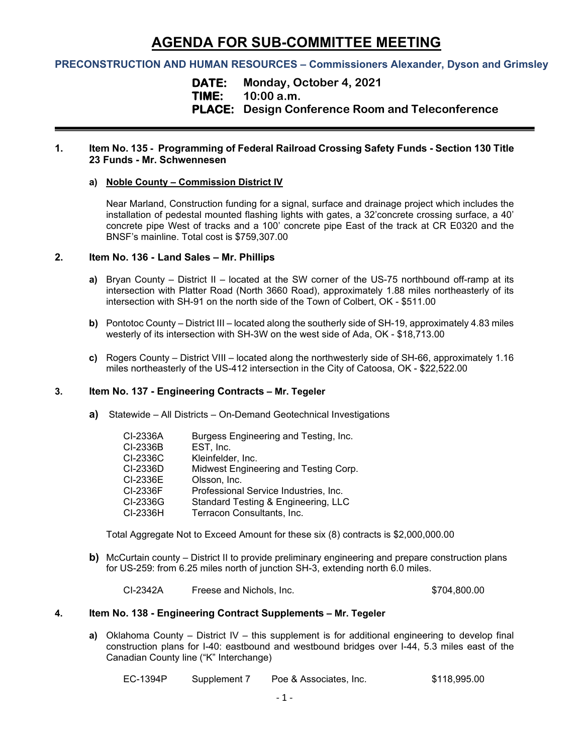# **AGENDA FOR SUB-COMMITTEE MEETING**

# **PRECONSTRUCTION AND HUMAN RESOURCES – Commissioners Alexander, Dyson and Grimsley**

**DATE: Monday, October 4, 2021**

**TIME: 10:00 a.m.**

**PLACE: Design Conference Room and Teleconference**

#### **1. Item No. 135 - Programming of Federal Railroad Crossing Safety Funds - Section 130 Title 23 Funds - Mr. Schwennesen**

#### **a) Noble County – Commission District IV**

Near Marland, Construction funding for a signal, surface and drainage project which includes the installation of pedestal mounted flashing lights with gates, a 32'concrete crossing surface, a 40' concrete pipe West of tracks and a 100' concrete pipe East of the track at CR E0320 and the BNSF's mainline. Total cost is \$759,307.00

#### **2. Item No. 136 - Land Sales – Mr. Phillips**

- **a)** Bryan County District II located at the SW corner of the US-75 northbound off-ramp at its intersection with Platter Road (North 3660 Road), approximately 1.88 miles northeasterly of its intersection with SH-91 on the north side of the Town of Colbert, OK - \$511.00
- **b)** Pontotoc County District III located along the southerly side of SH-19, approximately 4.83 miles westerly of its intersection with SH-3W on the west side of Ada, OK - \$18,713.00
- **c)** Rogers County District VIII located along the northwesterly side of SH-66, approximately 1.16 miles northeasterly of the US-412 intersection in the City of Catoosa, OK - \$22,522.00

## **3. Item No. 137 - Engineering Contracts – Mr. Tegeler**

**a)** Statewide – All Districts – On-Demand Geotechnical Investigations

| CI-2336A | Burgess Engineering and Testing, Inc. |
|----------|---------------------------------------|
| CI-2336B | EST, Inc.                             |
| CI-2336C | Kleinfelder, Inc.                     |
| CI-2336D | Midwest Engineering and Testing Corp. |
| CI-2336E | Olsson, Inc.                          |
| CI-2336F | Professional Service Industries, Inc. |
| CI-2336G | Standard Testing & Engineering, LLC   |
| CI-2336H | Terracon Consultants, Inc.            |
|          |                                       |

Total Aggregate Not to Exceed Amount for these six (8) contracts is \$2,000,000.00

**b)** McCurtain county – District II to provide preliminary engineering and prepare construction plans for US-259: from 6.25 miles north of junction SH-3, extending north 6.0 miles.

CI-2342A Freese and Nichols, Inc. \$704,800.00

#### **4. Item No. 138 - Engineering Contract Supplements – Mr. Tegeler**

**a)** Oklahoma County – District IV – this supplement is for additional engineering to develop final construction plans for I-40: eastbound and westbound bridges over I-44, 5.3 miles east of the Canadian County line ("K" Interchange)

| EC-1394P | Supplement 7 | Poe & Associates, Inc. | \$118,995.00 |
|----------|--------------|------------------------|--------------|
|----------|--------------|------------------------|--------------|